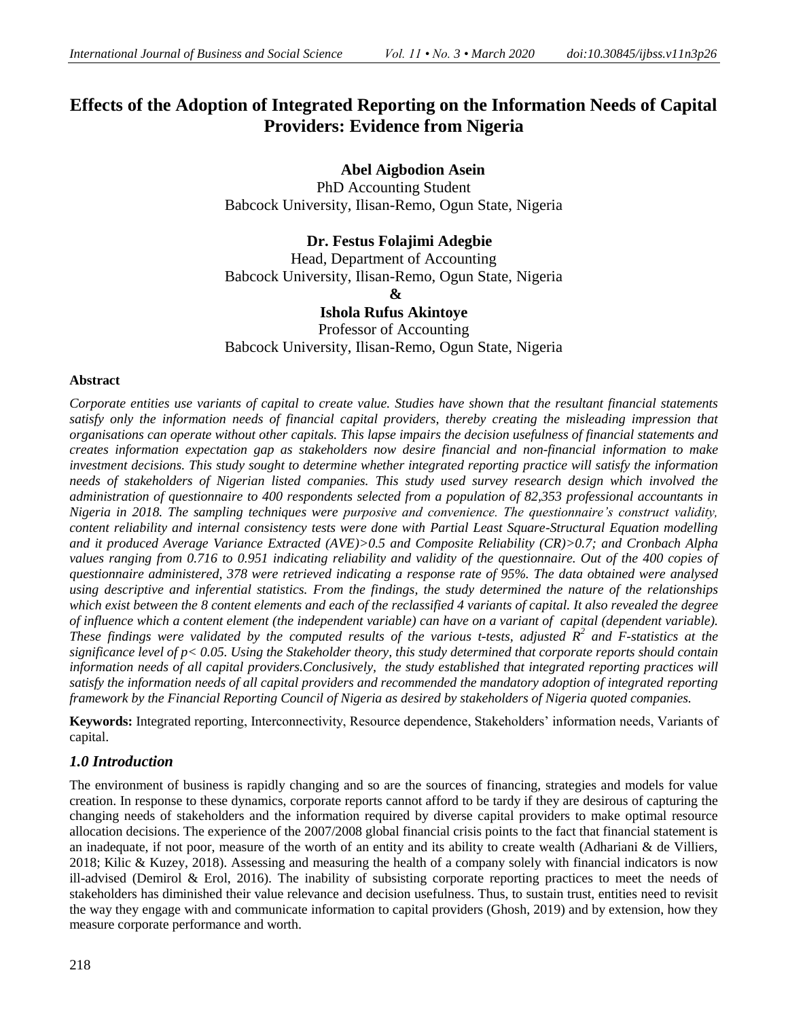# **Effects of the Adoption of Integrated Reporting on the Information Needs of Capital Providers: Evidence from Nigeria**

 **Abel Aigbodion Asein**

PhD Accounting Student Babcock University, Ilisan-Remo, Ogun State, Nigeria

 **Dr. Festus Folajimi Adegbie** Head, Department of Accounting Babcock University, Ilisan-Remo, Ogun State, Nigeria **& Ishola Rufus Akintoye**

Professor of Accounting Babcock University, Ilisan-Remo, Ogun State, Nigeria

#### **Abstract**

*Corporate entities use variants of capital to create value. Studies have shown that the resultant financial statements satisfy only the information needs of financial capital providers, thereby creating the misleading impression that organisations can operate without other capitals. This lapse impairs the decision usefulness of financial statements and creates information expectation gap as stakeholders now desire financial and non-financial information to make investment decisions. This study sought to determine whether integrated reporting practice will satisfy the information needs of stakeholders of Nigerian listed companies. This study used survey research design which involved the administration of questionnaire to 400 respondents selected from a population of 82,353 professional accountants in Nigeria in 2018. The sampling techniques were purposive and convenience. The questionnaire's construct validity, content reliability and internal consistency tests were done with Partial Least Square-Structural Equation modelling and it produced Average Variance Extracted (AVE)>0.5 and Composite Reliability (CR)>0.7; and Cronbach Alpha values ranging from 0.716 to 0.951 indicating reliability and validity of the questionnaire. Out of the 400 copies of questionnaire administered, 378 were retrieved indicating a response rate of 95%. The data obtained were analysed using descriptive and inferential statistics. From the findings, the study determined the nature of the relationships which exist between the 8 content elements and each of the reclassified 4 variants of capital. It also revealed the degree of influence which a content element (the independent variable) can have on a variant of capital (dependent variable). These findings were validated by the computed results of the various t-tests, adjusted R<sup>2</sup> and F-statistics at the significance level of p< 0.05. Using the Stakeholder theory, this study determined that corporate reports should contain information needs of all capital providers.Conclusively, the study established that integrated reporting practices will satisfy the information needs of all capital providers and recommended the mandatory adoption of integrated reporting framework by the Financial Reporting Council of Nigeria as desired by stakeholders of Nigeria quoted companies.*

**Keywords:** Integrated reporting, Interconnectivity, Resource dependence, Stakeholders' information needs, Variants of capital.

# *1.0 Introduction*

The environment of business is rapidly changing and so are the sources of financing, strategies and models for value creation. In response to these dynamics, corporate reports cannot afford to be tardy if they are desirous of capturing the changing needs of stakeholders and the information required by diverse capital providers to make optimal resource allocation decisions. The experience of the 2007/2008 global financial crisis points to the fact that financial statement is an inadequate, if not poor, measure of the worth of an entity and its ability to create wealth (Adhariani  $\&$  de Villiers, 2018; Kilic & Kuzey, 2018). Assessing and measuring the health of a company solely with financial indicators is now ill-advised (Demirol & Erol, 2016). The inability of subsisting corporate reporting practices to meet the needs of stakeholders has diminished their value relevance and decision usefulness. Thus, to sustain trust, entities need to revisit the way they engage with and communicate information to capital providers (Ghosh, 2019) and by extension, how they measure corporate performance and worth.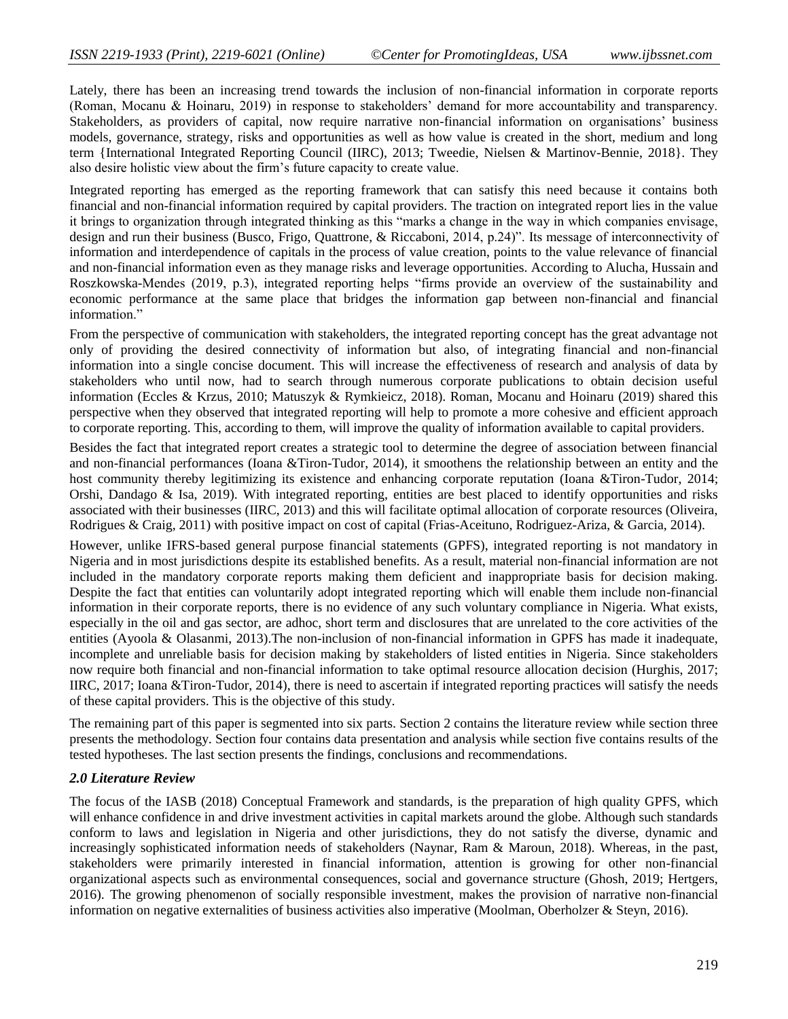Lately, there has been an increasing trend towards the inclusion of non-financial information in corporate reports (Roman, Mocanu & Hoinaru, 2019) in response to stakeholders' demand for more accountability and transparency. Stakeholders, as providers of capital, now require narrative non-financial information on organisations' business models, governance, strategy, risks and opportunities as well as how value is created in the short, medium and long term {International Integrated Reporting Council (IIRC), 2013; Tweedie, Nielsen & Martinov-Bennie, 2018}. They also desire holistic view about the firm's future capacity to create value.

Integrated reporting has emerged as the reporting framework that can satisfy this need because it contains both financial and non-financial information required by capital providers. The traction on integrated report lies in the value it brings to organization through integrated thinking as this "marks a change in the way in which companies envisage, design and run their business (Busco, Frigo, Quattrone, & Riccaboni, 2014, p.24)". Its message of interconnectivity of information and interdependence of capitals in the process of value creation, points to the value relevance of financial and non-financial information even as they manage risks and leverage opportunities. According to Alucha, Hussain and Roszkowska-Mendes (2019, p.3), integrated reporting helps "firms provide an overview of the sustainability and economic performance at the same place that bridges the information gap between non-financial and financial information."

From the perspective of communication with stakeholders, the integrated reporting concept has the great advantage not only of providing the desired connectivity of information but also, of integrating financial and non-financial information into a single concise document. This will increase the effectiveness of research and analysis of data by stakeholders who until now, had to search through numerous corporate publications to obtain decision useful information (Eccles & Krzus, 2010; Matuszyk & Rymkieicz, 2018). Roman, Mocanu and Hoinaru (2019) shared this perspective when they observed that integrated reporting will help to promote a more cohesive and efficient approach to corporate reporting. This, according to them, will improve the quality of information available to capital providers.

Besides the fact that integrated report creates a strategic tool to determine the degree of association between financial and non-financial performances (Ioana &Tiron-Tudor, 2014), it smoothens the relationship between an entity and the host community thereby legitimizing its existence and enhancing corporate reputation (Ioana &Tiron-Tudor, 2014; Orshi, Dandago & Isa, 2019). With integrated reporting, entities are best placed to identify opportunities and risks associated with their businesses (IIRC, 2013) and this will facilitate optimal allocation of corporate resources (Oliveira, Rodrigues & Craig, 2011) with positive impact on cost of capital (Frias-Aceituno, Rodriguez-Ariza, & Garcia, 2014).

However, unlike IFRS-based general purpose financial statements (GPFS), integrated reporting is not mandatory in Nigeria and in most jurisdictions despite its established benefits. As a result, material non-financial information are not included in the mandatory corporate reports making them deficient and inappropriate basis for decision making. Despite the fact that entities can voluntarily adopt integrated reporting which will enable them include non-financial information in their corporate reports, there is no evidence of any such voluntary compliance in Nigeria. What exists, especially in the oil and gas sector, are adhoc, short term and disclosures that are unrelated to the core activities of the entities (Ayoola & Olasanmi, 2013).The non-inclusion of non-financial information in GPFS has made it inadequate, incomplete and unreliable basis for decision making by stakeholders of listed entities in Nigeria. Since stakeholders now require both financial and non-financial information to take optimal resource allocation decision (Hurghis, 2017; IIRC, 2017; Ioana &Tiron-Tudor, 2014), there is need to ascertain if integrated reporting practices will satisfy the needs of these capital providers. This is the objective of this study.

The remaining part of this paper is segmented into six parts. Section 2 contains the literature review while section three presents the methodology. Section four contains data presentation and analysis while section five contains results of the tested hypotheses. The last section presents the findings, conclusions and recommendations.

#### *2.0 Literature Review*

The focus of the IASB (2018) Conceptual Framework and standards, is the preparation of high quality GPFS, which will enhance confidence in and drive investment activities in capital markets around the globe. Although such standards conform to laws and legislation in Nigeria and other jurisdictions, they do not satisfy the diverse, dynamic and increasingly sophisticated information needs of stakeholders (Naynar, Ram & Maroun, 2018). Whereas, in the past, stakeholders were primarily interested in financial information, attention is growing for other non-financial organizational aspects such as environmental consequences, social and governance structure (Ghosh, 2019; Hertgers, 2016). The growing phenomenon of socially responsible investment, makes the provision of narrative non-financial information on negative externalities of business activities also imperative (Moolman, Oberholzer & Steyn, 2016).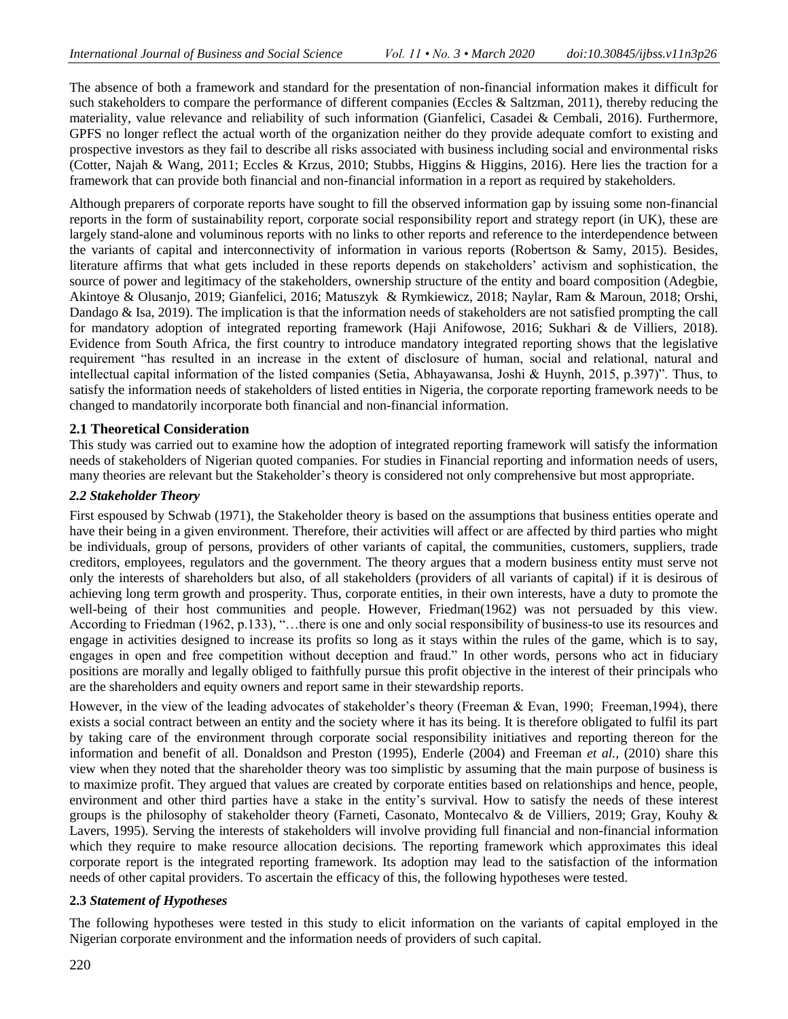The absence of both a framework and standard for the presentation of non-financial information makes it difficult for such stakeholders to compare the performance of different companies (Eccles & Saltzman, 2011), thereby reducing the materiality, value relevance and reliability of such information (Gianfelici, Casadei & Cembali, 2016). Furthermore, GPFS no longer reflect the actual worth of the organization neither do they provide adequate comfort to existing and prospective investors as they fail to describe all risks associated with business including social and environmental risks (Cotter, Najah & Wang, 2011; Eccles & Krzus, 2010; Stubbs, Higgins & Higgins, 2016). Here lies the traction for a framework that can provide both financial and non-financial information in a report as required by stakeholders.

Although preparers of corporate reports have sought to fill the observed information gap by issuing some non-financial reports in the form of sustainability report, corporate social responsibility report and strategy report (in UK), these are largely stand-alone and voluminous reports with no links to other reports and reference to the interdependence between the variants of capital and interconnectivity of information in various reports (Robertson & Samy, 2015). Besides, literature affirms that what gets included in these reports depends on stakeholders' activism and sophistication, the source of power and legitimacy of the stakeholders, ownership structure of the entity and board composition (Adegbie, Akintoye & Olusanjo, 2019; Gianfelici, 2016; Matuszyk & Rymkiewicz, 2018; Naylar, Ram & Maroun, 2018; Orshi, Dandago & Isa, 2019). The implication is that the information needs of stakeholders are not satisfied prompting the call for mandatory adoption of integrated reporting framework (Haji Anifowose, 2016; Sukhari & de Villiers, 2018). Evidence from South Africa, the first country to introduce mandatory integrated reporting shows that the legislative requirement "has resulted in an increase in the extent of disclosure of human, social and relational, natural and intellectual capital information of the listed companies (Setia, Abhayawansa, Joshi & Huynh, 2015, p.397)". Thus, to satisfy the information needs of stakeholders of listed entities in Nigeria, the corporate reporting framework needs to be changed to mandatorily incorporate both financial and non-financial information.

### **2.1 Theoretical Consideration**

This study was carried out to examine how the adoption of integrated reporting framework will satisfy the information needs of stakeholders of Nigerian quoted companies. For studies in Financial reporting and information needs of users, many theories are relevant but the Stakeholder's theory is considered not only comprehensive but most appropriate.

#### *2.2 Stakeholder Theory*

First espoused by Schwab (1971), the Stakeholder theory is based on the assumptions that business entities operate and have their being in a given environment. Therefore, their activities will affect or are affected by third parties who might be individuals, group of persons, providers of other variants of capital, the communities, customers, suppliers, trade creditors, employees, regulators and the government. The theory argues that a modern business entity must serve not only the interests of shareholders but also, of all stakeholders (providers of all variants of capital) if it is desirous of achieving long term growth and prosperity. Thus, corporate entities, in their own interests, have a duty to promote the well-being of their host communities and people. However, Friedman(1962) was not persuaded by this view. According to Friedman (1962, p.133), "...there is one and only social responsibility of business-to use its resources and engage in activities designed to increase its profits so long as it stays within the rules of the game, which is to say, engages in open and free competition without deception and fraud." In other words, persons who act in fiduciary positions are morally and legally obliged to faithfully pursue this profit objective in the interest of their principals who are the shareholders and equity owners and report same in their stewardship reports.

However, in the view of the leading advocates of stakeholder's theory (Freeman & Evan, 1990; Freeman,1994), there exists a social contract between an entity and the society where it has its being. It is therefore obligated to fulfil its part by taking care of the environment through corporate social responsibility initiatives and reporting thereon for the information and benefit of all. Donaldson and Preston (1995), Enderle (2004) and Freeman *et al.,* (2010) share this view when they noted that the shareholder theory was too simplistic by assuming that the main purpose of business is to maximize profit. They argued that values are created by corporate entities based on relationships and hence, people, environment and other third parties have a stake in the entity's survival. How to satisfy the needs of these interest groups is the philosophy of stakeholder theory (Farneti, Casonato, Montecalvo & de Villiers, 2019; Gray, Kouhy & Lavers, 1995). Serving the interests of stakeholders will involve providing full financial and non-financial information which they require to make resource allocation decisions. The reporting framework which approximates this ideal corporate report is the integrated reporting framework. Its adoption may lead to the satisfaction of the information needs of other capital providers. To ascertain the efficacy of this, the following hypotheses were tested.

### **2.3** *Statement of Hypotheses*

The following hypotheses were tested in this study to elicit information on the variants of capital employed in the Nigerian corporate environment and the information needs of providers of such capital.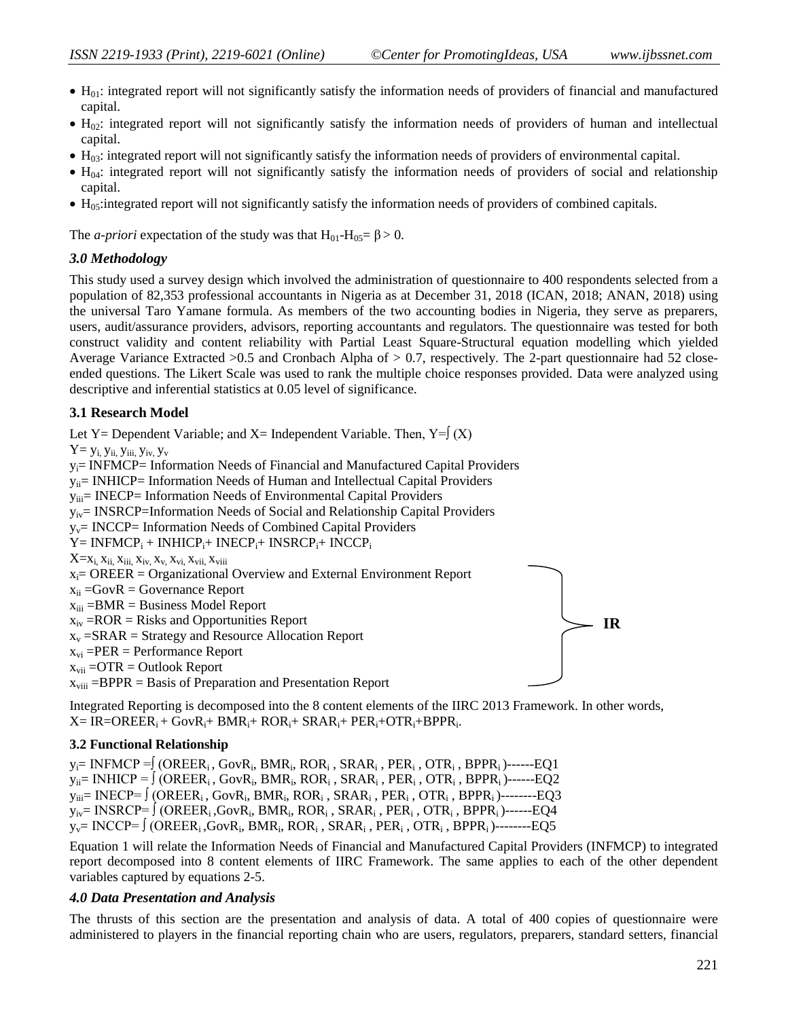**IR**

- $\bullet$  H<sub>01</sub>: integrated report will not significantly satisfy the information needs of providers of financial and manufactured capital.
- H<sub>02</sub>: integrated report will not significantly satisfy the information needs of providers of human and intellectual capital.
- $\bullet$  H<sub>03</sub>: integrated report will not significantly satisfy the information needs of providers of environmental capital.
- $\bullet$  H<sub>04</sub>: integrated report will not significantly satisfy the information needs of providers of social and relationship capital.
- H<sub>05</sub>: integrated report will not significantly satisfy the information needs of providers of combined capitals.

The *a-priori* expectation of the study was that  $H_{01}$ - $H_{05} = \beta > 0$ .

#### *3.0 Methodology*

This study used a survey design which involved the administration of questionnaire to 400 respondents selected from a population of 82,353 professional accountants in Nigeria as at December 31, 2018 (ICAN, 2018; ANAN, 2018) using the universal Taro Yamane formula. As members of the two accounting bodies in Nigeria, they serve as preparers, users, audit/assurance providers, advisors, reporting accountants and regulators. The questionnaire was tested for both construct validity and content reliability with Partial Least Square-Structural equation modelling which yielded Average Variance Extracted >0.5 and Cronbach Alpha of > 0.7, respectively. The 2-part questionnaire had 52 closeended questions. The Likert Scale was used to rank the multiple choice responses provided. Data were analyzed using descriptive and inferential statistics at 0.05 level of significance.

#### **3.1 Research Model**

Let Y= Dependent Variable; and X= Independent Variable. Then,  $Y = \int (X)$ 

 $Y = y_i$ ,  $y_{ii}$ ,  $y_{iii}$ ,  $y_{iv}$ ,  $y_v$ 

 $y_i$ = INFMCP= Information Needs of Financial and Manufactured Capital Providers

 $y_{ii}=$  INHICP= Information Needs of Human and Intellectual Capital Providers

 $y_{iii}$ = INECP= Information Needs of Environmental Capital Providers

 $y_{iv}$ = INSRCP=Information Needs of Social and Relationship Capital Providers

 $y_y = INCCP = Information Needs of Combined Capital Provides$ 

 $Y = INFMCP_i + INHICP_i + INECP_i + INSRCP_i + INCCP_i$ 

 $X=x_i$ ,  $x_{ii}$ ,  $x_{iii}$ ,  $x_{iv}$ ,  $x_{v}$ ,  $x_{vi}$ ,  $x_{vii}$ ,  $x_{viii}$ 

```
x_i= OREER = Organizational Overview and External Environment Report
```
 $x_{ii}$  =GovR = Governance Report

 $x_{iii} = BMR = Business Model Report$ 

 $x<sub>iv</sub> = ROR = Risks$  and Opportunities Report

 $x_v = SRAR = Strategy$  and Resource Allocation Report

 $x_{vi}$  =PER = Performance Report

 $x_{vii}$  =OTR = Outlook Report

 $x_{\text{viii}} = BPPR =$  Basis of Preparation and Presentation Report

Integrated Reporting is decomposed into the 8 content elements of the IIRC 2013 Framework. In other words,  $X=IR=OREER_i + GovR_i + BMR_i + ROR_i + SRAR_i + PER_i + OTR_i + BPPR_i.$ 

### **3.2 Functional Relationship**

y<sub>i</sub>= INFMCP =∫ (OREER<sub>i</sub>, GovR<sub>i</sub>, BMR<sub>i</sub>, ROR<sub>i</sub>, SRAR<sub>i</sub>, PER<sub>i</sub>, OTR<sub>i</sub>, BPPR<sub>i</sub>)------EQ1 y<sub>ii</sub>= INHICP = ∫ (OREER<sub>i</sub> , GovR<sub>i</sub>, BMR<sub>i</sub>, ROR<sub>i</sub> , SRAR<sub>i</sub> , PER<sub>i</sub> , OTR<sub>i</sub> , BPPR<sub>i</sub> )------EQ2 y $_{\rm iii}=$  INECP=  $\int (\text{OREER}_{\rm i},\text{GovR}_{\rm i},\text{BMR}_{\rm i},\text{ROR}_{\rm i}$  ,  $\text{SRAR}_{\rm i}$  ,  $\text{PER}_{\rm i}$  ,  $\text{OTR}_{\rm i}$  ,  $\text{BPPR}_{\rm i}$  )--------EQ3 y<sub>iv</sub>= INSRCP= ∫ (OREER<sub>i</sub> ,GovR<sub>i</sub>, BMR<sub>i</sub>, ROR<sub>i</sub> , SRAR<sub>i</sub> , PER<sub>i</sub> , OTR<sub>i</sub> , BPPR<sub>i</sub> )-------EQ4 yv= INCCP= ∫ (OREERi ,GovR<sup>i</sup> , BMR<sup>i</sup> , ROR<sup>i</sup> , SRAR<sup>i</sup> , PER<sup>i</sup> , OTR<sup>i</sup> , BPPRi )--------EQ5

Equation 1 will relate the Information Needs of Financial and Manufactured Capital Providers (INFMCP) to integrated report decomposed into 8 content elements of IIRC Framework. The same applies to each of the other dependent variables captured by equations 2-5.

### *4.0 Data Presentation and Analysis*

The thrusts of this section are the presentation and analysis of data. A total of 400 copies of questionnaire were administered to players in the financial reporting chain who are users, regulators, preparers, standard setters, financial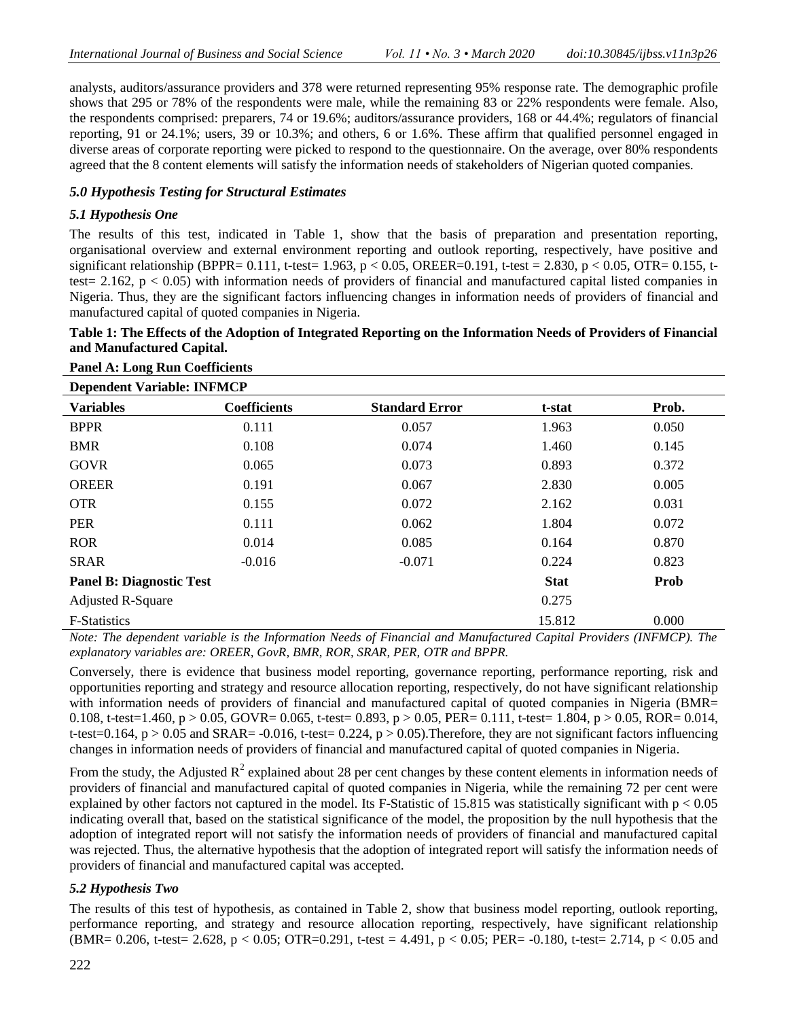analysts, auditors/assurance providers and 378 were returned representing 95% response rate. The demographic profile shows that 295 or 78% of the respondents were male, while the remaining 83 or 22% respondents were female. Also, the respondents comprised: preparers, 74 or 19.6%; auditors/assurance providers, 168 or 44.4%; regulators of financial reporting, 91 or 24.1%; users, 39 or 10.3%; and others, 6 or 1.6%. These affirm that qualified personnel engaged in diverse areas of corporate reporting were picked to respond to the questionnaire. On the average, over 80% respondents agreed that the 8 content elements will satisfy the information needs of stakeholders of Nigerian quoted companies.

## *5.0 Hypothesis Testing for Structural Estimates*

### *5.1 Hypothesis One*

**Panel A: Long Run Coefficients**

The results of this test, indicated in Table 1, show that the basis of preparation and presentation reporting, organisational overview and external environment reporting and outlook reporting, respectively, have positive and significant relationship (BPPR= 0.111, t*-*test= 1.963, p < 0.05, OREER=0.191, t-test = 2.830, p < 0.05, OTR= 0.155, ttest= 2.162,  $p < 0.05$ ) with information needs of providers of financial and manufactured capital listed companies in Nigeria. Thus, they are the significant factors influencing changes in information needs of providers of financial and manufactured capital of quoted companies in Nigeria.

## **Table 1: The Effects of the Adoption of Integrated Reporting on the Information Needs of Providers of Financial and Manufactured Capital.**

| <b>Dependent Variable: INFMCP</b> |                     |                       |             |       |  |
|-----------------------------------|---------------------|-----------------------|-------------|-------|--|
| <b>Variables</b>                  | <b>Coefficients</b> | <b>Standard Error</b> | t-stat      | Prob. |  |
| <b>BPPR</b>                       | 0.111               | 0.057                 | 1.963       | 0.050 |  |
| <b>BMR</b>                        | 0.108               | 0.074                 | 1.460       | 0.145 |  |
| <b>GOVR</b>                       | 0.065               | 0.073                 | 0.893       | 0.372 |  |
| <b>OREER</b>                      | 0.191               | 0.067                 | 2.830       | 0.005 |  |
| <b>OTR</b>                        | 0.155               | 0.072                 | 2.162       | 0.031 |  |
| <b>PER</b>                        | 0.111               | 0.062                 | 1.804       | 0.072 |  |
| <b>ROR</b>                        | 0.014               | 0.085                 | 0.164       | 0.870 |  |
| <b>SRAR</b>                       | $-0.016$            | $-0.071$              | 0.224       | 0.823 |  |
| <b>Panel B: Diagnostic Test</b>   |                     |                       | <b>Stat</b> | Prob  |  |
| <b>Adjusted R-Square</b>          |                     |                       | 0.275       |       |  |
| <b>F-Statistics</b>               |                     |                       | 15.812      | 0.000 |  |

*Note: The dependent variable is the Information Needs of Financial and Manufactured Capital Providers (INFMCP). The explanatory variables are: OREER, GovR, BMR, ROR, SRAR, PER, OTR and BPPR.*

Conversely, there is evidence that business model reporting, governance reporting, performance reporting, risk and opportunities reporting and strategy and resource allocation reporting, respectively, do not have significant relationship with information needs of providers of financial and manufactured capital of quoted companies in Nigeria (BMR= 0.108, t-test=1.460,  $p > 0.05$ , GOVR= 0.065, t-test= 0.893,  $p > 0.05$ , PER= 0.111, t-test= 1.804,  $p > 0.05$ , ROR= 0.014, t-test=0.164,  $p > 0.05$  and SRAR= -0.016, t-test=0.224,  $p > 0.05$ ). Therefore, they are not significant factors influencing changes in information needs of providers of financial and manufactured capital of quoted companies in Nigeria.

From the study, the Adjusted  $R^2$  explained about 28 per cent changes by these content elements in information needs of providers of financial and manufactured capital of quoted companies in Nigeria, while the remaining 72 per cent were explained by other factors not captured in the model. Its F-Statistic of 15.815 was statistically significant with  $p < 0.05$ indicating overall that, based on the statistical significance of the model, the proposition by the null hypothesis that the adoption of integrated report will not satisfy the information needs of providers of financial and manufactured capital was rejected. Thus, the alternative hypothesis that the adoption of integrated report will satisfy the information needs of providers of financial and manufactured capital was accepted.

### *5.2 Hypothesis Two*

The results of this test of hypothesis, as contained in Table 2, show that business model reporting, outlook reporting, performance reporting, and strategy and resource allocation reporting, respectively, have significant relationship (BMR= 0.206, t*-*test= 2.628, p < 0.05; OTR=0.291, t-test = 4.491, p < 0.05; PER= -0.180, t*-*test= 2.714, p < 0.05 and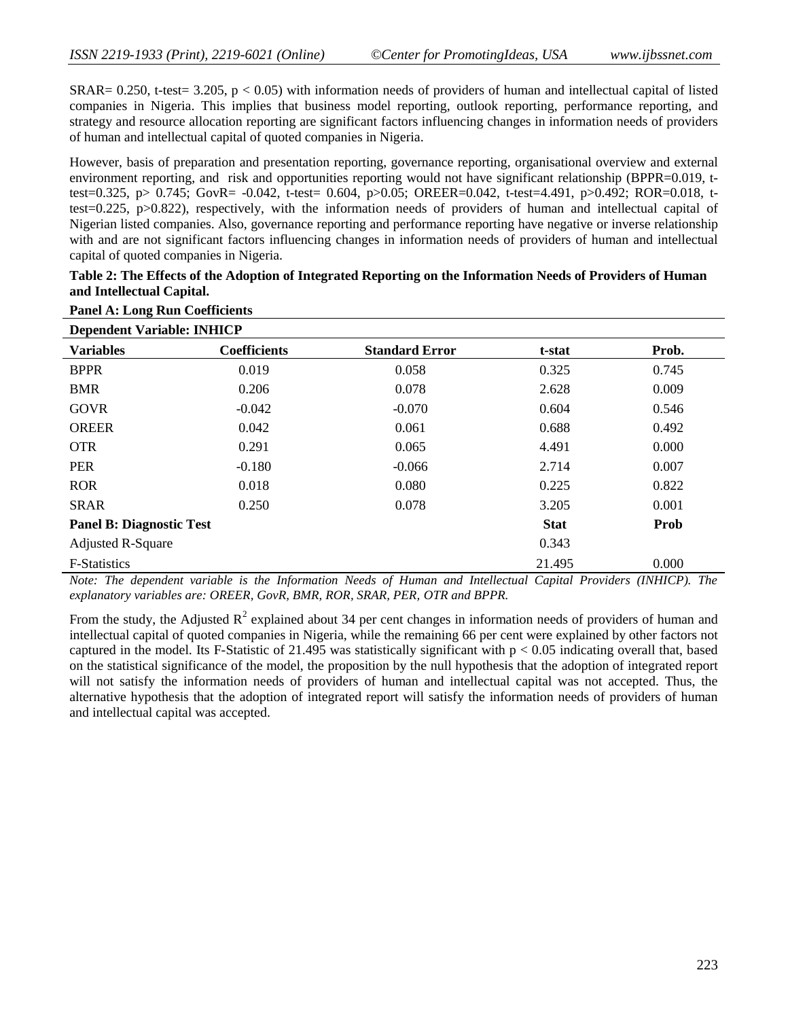SRAR= 0.250, t*-*test= 3.205, p < 0.05) with information needs of providers of human and intellectual capital of listed companies in Nigeria. This implies that business model reporting, outlook reporting, performance reporting, and strategy and resource allocation reporting are significant factors influencing changes in information needs of providers of human and intellectual capital of quoted companies in Nigeria.

However, basis of preparation and presentation reporting, governance reporting, organisational overview and external environment reporting, and risk and opportunities reporting would not have significant relationship (BPPR=0.019, ttest=0.325, p> 0.745; GovR= -0.042, t-test= 0.604, p>0.05; OREER=0.042, t-test=4.491, p>0.492; ROR=0.018, ttest=0.225, p>0.822), respectively, with the information needs of providers of human and intellectual capital of Nigerian listed companies. Also, governance reporting and performance reporting have negative or inverse relationship with and are not significant factors influencing changes in information needs of providers of human and intellectual capital of quoted companies in Nigeria.

| Table 2: The Effects of the Adoption of Integrated Reporting on the Information Needs of Providers of Human |
|-------------------------------------------------------------------------------------------------------------|
| and Intellectual Capital.                                                                                   |

| <b>Dependent Variable: INHICP</b> |                     |                       |             |       |  |
|-----------------------------------|---------------------|-----------------------|-------------|-------|--|
| <b>Variables</b>                  | <b>Coefficients</b> | <b>Standard Error</b> | t-stat      | Prob. |  |
| <b>BPPR</b>                       | 0.019               | 0.058                 | 0.325       | 0.745 |  |
| <b>BMR</b>                        | 0.206               | 0.078                 | 2.628       | 0.009 |  |
| <b>GOVR</b>                       | $-0.042$            | $-0.070$              | 0.604       | 0.546 |  |
| <b>OREER</b>                      | 0.042               | 0.061                 | 0.688       | 0.492 |  |
| <b>OTR</b>                        | 0.291               | 0.065                 | 4.491       | 0.000 |  |
| <b>PER</b>                        | $-0.180$            | $-0.066$              | 2.714       | 0.007 |  |
| <b>ROR</b>                        | 0.018               | 0.080                 | 0.225       | 0.822 |  |
| <b>SRAR</b>                       | 0.250               | 0.078                 | 3.205       | 0.001 |  |
| <b>Panel B: Diagnostic Test</b>   |                     |                       | <b>Stat</b> | Prob  |  |
| <b>Adjusted R-Square</b>          |                     |                       | 0.343       |       |  |
| <b>F-Statistics</b>               |                     |                       | 21.495      | 0.000 |  |

# **Panel A: Long Run Coefficients**

*Note: The dependent variable is the Information Needs of Human and Intellectual Capital Providers (INHICP). The explanatory variables are: OREER, GovR, BMR, ROR, SRAR, PER, OTR and BPPR.*

From the study, the Adjusted  $R^2$  explained about 34 per cent changes in information needs of providers of human and intellectual capital of quoted companies in Nigeria, while the remaining 66 per cent were explained by other factors not captured in the model. Its F-Statistic of 21.495 was statistically significant with  $p < 0.05$  indicating overall that, based on the statistical significance of the model, the proposition by the null hypothesis that the adoption of integrated report will not satisfy the information needs of providers of human and intellectual capital was not accepted. Thus, the alternative hypothesis that the adoption of integrated report will satisfy the information needs of providers of human and intellectual capital was accepted.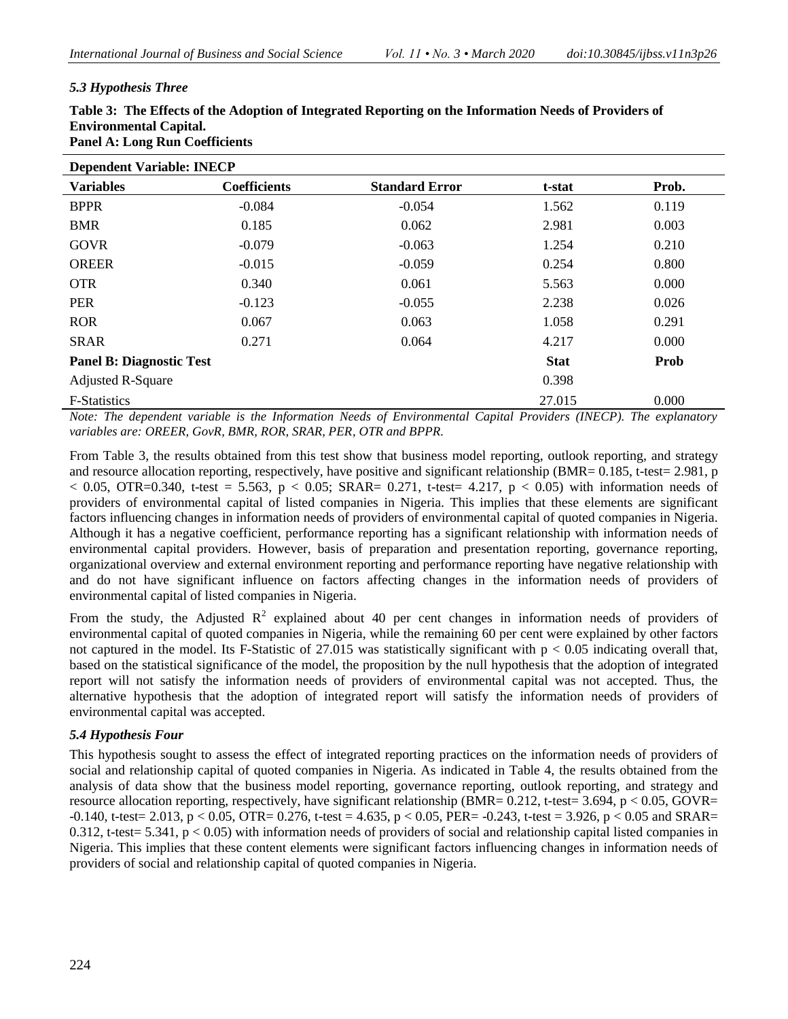## *5.3 Hypothesis Three*

| Table 3: The Effects of the Adoption of Integrated Reporting on the Information Needs of Providers of |
|-------------------------------------------------------------------------------------------------------|
| <b>Environmental Capital.</b>                                                                         |
| <b>Panel A: Long Run Coefficients</b>                                                                 |

| <b>Dependent Variable: INECP</b> |                     |                       |             |       |  |
|----------------------------------|---------------------|-----------------------|-------------|-------|--|
| <b>Variables</b>                 | <b>Coefficients</b> | <b>Standard Error</b> | t-stat      | Prob. |  |
| <b>BPPR</b>                      | $-0.084$            | $-0.054$              | 1.562       | 0.119 |  |
| <b>BMR</b>                       | 0.185               | 0.062                 | 2.981       | 0.003 |  |
| <b>GOVR</b>                      | $-0.079$            | $-0.063$              | 1.254       | 0.210 |  |
| <b>OREER</b>                     | $-0.015$            | $-0.059$              | 0.254       | 0.800 |  |
| <b>OTR</b>                       | 0.340               | 0.061                 | 5.563       | 0.000 |  |
| <b>PER</b>                       | $-0.123$            | $-0.055$              | 2.238       | 0.026 |  |
| <b>ROR</b>                       | 0.067               | 0.063                 | 1.058       | 0.291 |  |
| <b>SRAR</b>                      | 0.271               | 0.064                 | 4.217       | 0.000 |  |
| <b>Panel B: Diagnostic Test</b>  |                     |                       | <b>Stat</b> | Prob  |  |
| <b>Adjusted R-Square</b>         |                     |                       | 0.398       |       |  |
| <b>F-Statistics</b>              |                     |                       | 27.015      | 0.000 |  |

*Note: The dependent variable is the Information Needs of Environmental Capital Providers (INECP). The explanatory variables are: OREER, GovR, BMR, ROR, SRAR, PER, OTR and BPPR.*

From Table 3, the results obtained from this test show that business model reporting, outlook reporting, and strategy and resource allocation reporting, respectively, have positive and significant relationship (BMR= 0.185, t*-*test= 2.981, p < 0.05, OTR=0.340, t-test = 5.563, p < 0.05; SRAR= 0.271, t*-*test= 4.217, p < 0.05) with information needs of providers of environmental capital of listed companies in Nigeria. This implies that these elements are significant factors influencing changes in information needs of providers of environmental capital of quoted companies in Nigeria. Although it has a negative coefficient, performance reporting has a significant relationship with information needs of environmental capital providers. However, basis of preparation and presentation reporting, governance reporting, organizational overview and external environment reporting and performance reporting have negative relationship with and do not have significant influence on factors affecting changes in the information needs of providers of environmental capital of listed companies in Nigeria.

From the study, the Adjusted  $R^2$  explained about 40 per cent changes in information needs of providers of environmental capital of quoted companies in Nigeria, while the remaining 60 per cent were explained by other factors not captured in the model. Its F-Statistic of 27.015 was statistically significant with  $p < 0.05$  indicating overall that, based on the statistical significance of the model, the proposition by the null hypothesis that the adoption of integrated report will not satisfy the information needs of providers of environmental capital was not accepted. Thus, the alternative hypothesis that the adoption of integrated report will satisfy the information needs of providers of environmental capital was accepted.

### *5.4 Hypothesis Four*

This hypothesis sought to assess the effect of integrated reporting practices on the information needs of providers of social and relationship capital of quoted companies in Nigeria. As indicated in Table 4, the results obtained from the analysis of data show that the business model reporting, governance reporting, outlook reporting, and strategy and resource allocation reporting, respectively, have significant relationship (BMR= 0.212, t*-*test= 3.694, p < 0.05, GOVR= -0.140, t*-*test= 2.013, p < 0.05, OTR= 0.276, t-test = 4.635, p < 0.05, PER= -0.243, t*-*test = 3.926, p < 0.05 and SRAR= 0.312, t-test= 5.341, p < 0.05) with information needs of providers of social and relationship capital listed companies in Nigeria. This implies that these content elements were significant factors influencing changes in information needs of providers of social and relationship capital of quoted companies in Nigeria.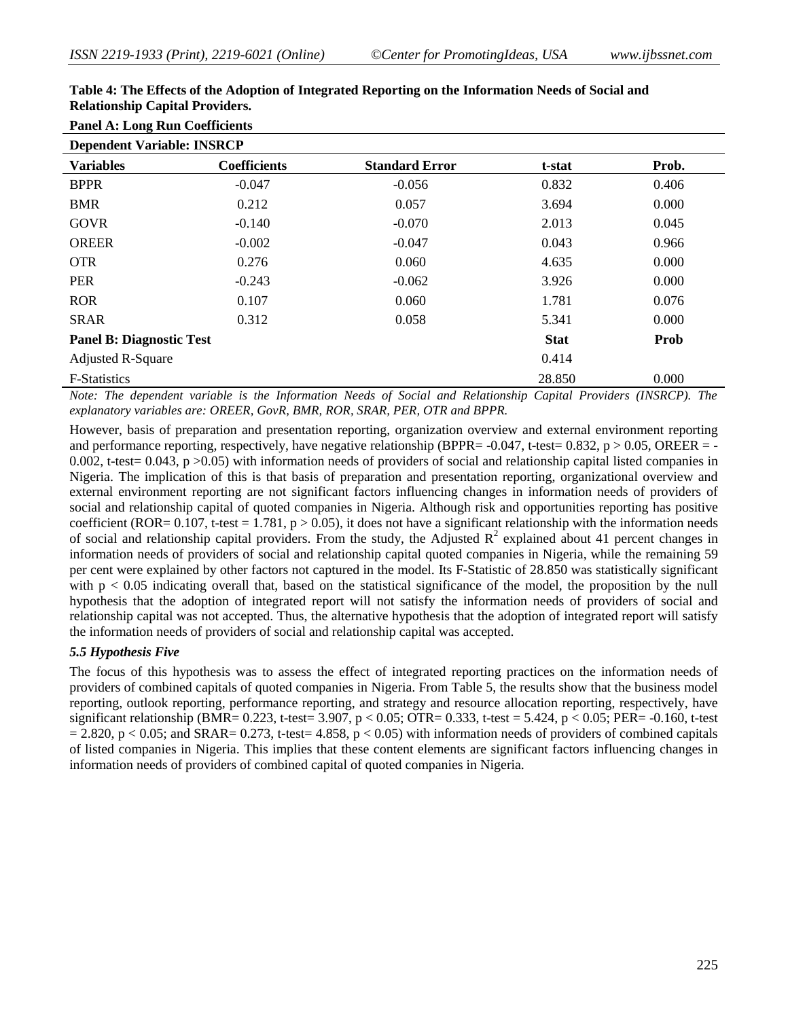| <b>Panel A: Long Run Coefficients</b> |                     |                       |             |       |  |
|---------------------------------------|---------------------|-----------------------|-------------|-------|--|
| <b>Dependent Variable: INSRCP</b>     |                     |                       |             |       |  |
| <b>Variables</b>                      | <b>Coefficients</b> | <b>Standard Error</b> | t-stat      | Prob. |  |
| <b>BPPR</b>                           | $-0.047$            | $-0.056$              | 0.832       | 0.406 |  |
| <b>BMR</b>                            | 0.212               | 0.057                 | 3.694       | 0.000 |  |
| <b>GOVR</b>                           | $-0.140$            | $-0.070$              | 2.013       | 0.045 |  |
| <b>OREER</b>                          | $-0.002$            | $-0.047$              | 0.043       | 0.966 |  |
| <b>OTR</b>                            | 0.276               | 0.060                 | 4.635       | 0.000 |  |
| <b>PER</b>                            | $-0.243$            | $-0.062$              | 3.926       | 0.000 |  |
| <b>ROR</b>                            | 0.107               | 0.060                 | 1.781       | 0.076 |  |
| <b>SRAR</b>                           | 0.312               | 0.058                 | 5.341       | 0.000 |  |
| <b>Panel B: Diagnostic Test</b>       |                     |                       | <b>Stat</b> | Prob  |  |
| <b>Adjusted R-Square</b>              |                     |                       | 0.414       |       |  |
| <b>F-Statistics</b>                   |                     |                       | 28.850      | 0.000 |  |

#### **Table 4: The Effects of the Adoption of Integrated Reporting on the Information Needs of Social and Relationship Capital Providers.**

*Note: The dependent variable is the Information Needs of Social and Relationship Capital Providers (INSRCP). The explanatory variables are: OREER, GovR, BMR, ROR, SRAR, PER, OTR and BPPR.*

However, basis of preparation and presentation reporting, organization overview and external environment reporting and performance reporting, respectively, have negative relationship (BPPR=  $-0.047$ , t-test= 0.832, p > 0.05, OREER = -0.002, t-test= 0.043, p >0.05) with information needs of providers of social and relationship capital listed companies in Nigeria. The implication of this is that basis of preparation and presentation reporting, organizational overview and external environment reporting are not significant factors influencing changes in information needs of providers of social and relationship capital of quoted companies in Nigeria. Although risk and opportunities reporting has positive coefficient (ROR=  $0.107$ , t-test = 1.781, p > 0.05), it does not have a significant relationship with the information needs of social and relationship capital providers. From the study, the Adjusted  $R^2$  explained about 41 percent changes in information needs of providers of social and relationship capital quoted companies in Nigeria, while the remaining 59 per cent were explained by other factors not captured in the model. Its F-Statistic of 28.850 was statistically significant with  $p < 0.05$  indicating overall that, based on the statistical significance of the model, the proposition by the null hypothesis that the adoption of integrated report will not satisfy the information needs of providers of social and relationship capital was not accepted. Thus, the alternative hypothesis that the adoption of integrated report will satisfy the information needs of providers of social and relationship capital was accepted.

#### *5.5 Hypothesis Five*

The focus of this hypothesis was to assess the effect of integrated reporting practices on the information needs of providers of combined capitals of quoted companies in Nigeria. From Table 5, the results show that the business model reporting, outlook reporting, performance reporting, and strategy and resource allocation reporting, respectively, have significant relationship (BMR= 0.223, t*-*test= 3.907, p < 0.05; OTR= 0.333, t-test = 5.424, p < 0.05; PER= -0.160, t*-*test  $= 2.820$ , p  $\lt 0.05$ ; and SRAR= 0.273, t-test= 4.858, p  $\lt 0.05$ ) with information needs of providers of combined capitals of listed companies in Nigeria. This implies that these content elements are significant factors influencing changes in information needs of providers of combined capital of quoted companies in Nigeria.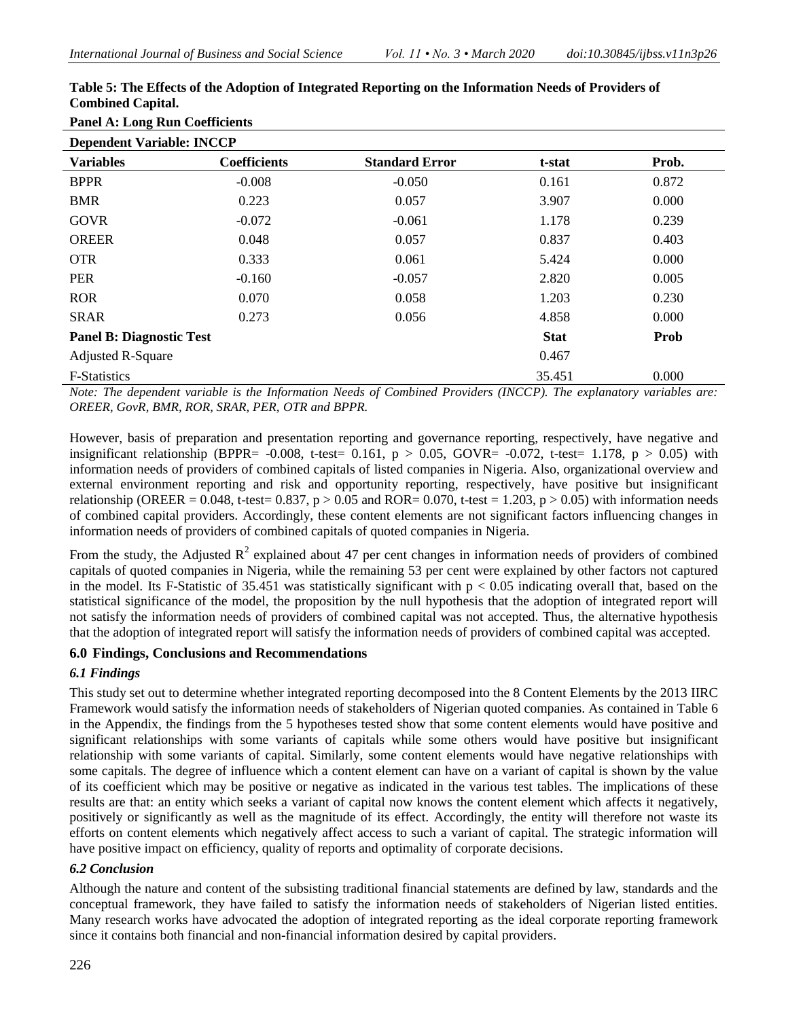| Patier A: Long Kun Coemetents    |                       |                                                                      |                      |  |  |  |
|----------------------------------|-----------------------|----------------------------------------------------------------------|----------------------|--|--|--|
| <b>Dependent Variable: INCCP</b> |                       |                                                                      |                      |  |  |  |
| <b>Coefficients</b>              | <b>Standard Error</b> | t-stat                                                               | Prob.                |  |  |  |
| $-0.008$                         | $-0.050$              | 0.161                                                                | 0.872                |  |  |  |
| 0.223                            | 0.057                 | 3.907                                                                | 0.000                |  |  |  |
| $-0.072$                         | $-0.061$              | 1.178                                                                | 0.239                |  |  |  |
| 0.048                            | 0.057                 | 0.837                                                                | 0.403                |  |  |  |
| 0.333                            | 0.061                 | 5.424                                                                | 0.000                |  |  |  |
| $-0.160$                         | $-0.057$              | 2.820                                                                | 0.005                |  |  |  |
| 0.070                            | 0.058                 | 1.203                                                                | 0.230                |  |  |  |
| 0.273                            | 0.056                 | 4.858                                                                | 0.000                |  |  |  |
| <b>Panel B: Diagnostic Test</b>  |                       |                                                                      | <b>Prob</b>          |  |  |  |
| <b>Adjusted R-Square</b>         |                       |                                                                      |                      |  |  |  |
|                                  |                       | 35.451                                                               | 0.000                |  |  |  |
|                                  |                       | $\cdot$ $\cdot$ $\cdot$ $\cdot$ $\cdot$ $\cdot$ $\cdot$ $\cdot$<br>. | <b>Stat</b><br>0.467 |  |  |  |

#### **Table 5: The Effects of the Adoption of Integrated Reporting on the Information Needs of Providers of Combined Capital.** Panel  $\Lambda \cdot I$  ong Run Coefficients

*Note: The dependent variable is the Information Needs of Combined Providers (INCCP). The explanatory variables are: OREER, GovR, BMR, ROR, SRAR, PER, OTR and BPPR.*

However, basis of preparation and presentation reporting and governance reporting, respectively, have negative and insignificant relationship (BPPR=  $-0.008$ , t-test= 0.161, p > 0.05, GOVR=  $-0.072$ , t-test= 1.178, p > 0.05) with information needs of providers of combined capitals of listed companies in Nigeria. Also, organizational overview and external environment reporting and risk and opportunity reporting, respectively, have positive but insignificant relationship (OREER =  $0.048$ , t-test=  $0.837$ , p >  $0.05$  and ROR=  $0.070$ , t-test =  $1.203$ , p >  $0.05$ ) with information needs of combined capital providers. Accordingly, these content elements are not significant factors influencing changes in information needs of providers of combined capitals of quoted companies in Nigeria.

From the study, the Adjusted  $R^2$  explained about 47 per cent changes in information needs of providers of combined capitals of quoted companies in Nigeria, while the remaining 53 per cent were explained by other factors not captured in the model. Its F-Statistic of 35.451 was statistically significant with  $p < 0.05$  indicating overall that, based on the statistical significance of the model, the proposition by the null hypothesis that the adoption of integrated report will not satisfy the information needs of providers of combined capital was not accepted. Thus, the alternative hypothesis that the adoption of integrated report will satisfy the information needs of providers of combined capital was accepted.

# **6.0 Findings, Conclusions and Recommendations**

# *6.1 Findings*

This study set out to determine whether integrated reporting decomposed into the 8 Content Elements by the 2013 IIRC Framework would satisfy the information needs of stakeholders of Nigerian quoted companies. As contained in Table 6 in the Appendix, the findings from the 5 hypotheses tested show that some content elements would have positive and significant relationships with some variants of capitals while some others would have positive but insignificant relationship with some variants of capital. Similarly, some content elements would have negative relationships with some capitals. The degree of influence which a content element can have on a variant of capital is shown by the value of its coefficient which may be positive or negative as indicated in the various test tables. The implications of these results are that: an entity which seeks a variant of capital now knows the content element which affects it negatively, positively or significantly as well as the magnitude of its effect. Accordingly, the entity will therefore not waste its efforts on content elements which negatively affect access to such a variant of capital. The strategic information will have positive impact on efficiency, quality of reports and optimality of corporate decisions.

# *6.2 Conclusion*

Although the nature and content of the subsisting traditional financial statements are defined by law, standards and the conceptual framework, they have failed to satisfy the information needs of stakeholders of Nigerian listed entities. Many research works have advocated the adoption of integrated reporting as the ideal corporate reporting framework since it contains both financial and non-financial information desired by capital providers.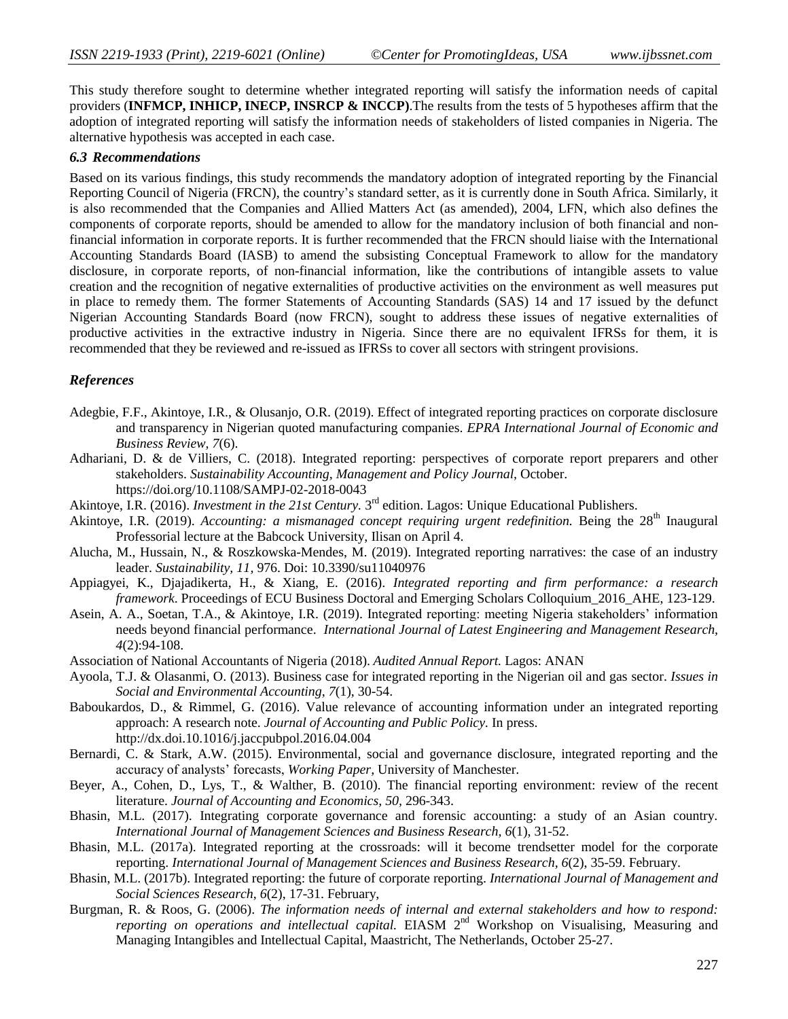This study therefore sought to determine whether integrated reporting will satisfy the information needs of capital providers (**INFMCP, INHICP, INECP, INSRCP & INCCP)**.The results from the tests of 5 hypotheses affirm that the adoption of integrated reporting will satisfy the information needs of stakeholders of listed companies in Nigeria. The alternative hypothesis was accepted in each case.

## *6.3 Recommendations*

Based on its various findings, this study recommends the mandatory adoption of integrated reporting by the Financial Reporting Council of Nigeria (FRCN), the country's standard setter, as it is currently done in South Africa. Similarly, it is also recommended that the Companies and Allied Matters Act (as amended), 2004, LFN, which also defines the components of corporate reports, should be amended to allow for the mandatory inclusion of both financial and nonfinancial information in corporate reports. It is further recommended that the FRCN should liaise with the International Accounting Standards Board (IASB) to amend the subsisting Conceptual Framework to allow for the mandatory disclosure, in corporate reports, of non-financial information, like the contributions of intangible assets to value creation and the recognition of negative externalities of productive activities on the environment as well measures put in place to remedy them. The former Statements of Accounting Standards (SAS) 14 and 17 issued by the defunct Nigerian Accounting Standards Board (now FRCN), sought to address these issues of negative externalities of productive activities in the extractive industry in Nigeria. Since there are no equivalent IFRSs for them, it is recommended that they be reviewed and re-issued as IFRSs to cover all sectors with stringent provisions.

#### *References*

- Adegbie, F.F., Akintoye, I.R., & Olusanjo, O.R. (2019). Effect of integrated reporting practices on corporate disclosure and transparency in Nigerian quoted manufacturing companies. *EPRA International Journal of Economic and Business Review, 7*(6).
- Adhariani, D. & de Villiers, C. (2018). Integrated reporting: perspectives of corporate report preparers and other stakeholders. *Sustainability Accounting, Management and Policy Journal,* October. <https://doi.org/10.1108/SAMPJ-02-2018-0043>
- Akintoye, I.R. (2016). *Investment in the 21st Century*. 3<sup>rd</sup> edition. Lagos: Unique Educational Publishers.
- Akintoye, I.R. (2019). *Accounting: a mismanaged concept requiring urgent redefinition*. Being the 28<sup>th</sup> Inaugural Professorial lecture at the Babcock University, Ilisan on April 4.
- Alucha, M., Hussain, N., & Roszkowska-Mendes, M. (2019). Integrated reporting narratives: the case of an industry leader. *Sustainability, 11,* 976. Doi: 10.3390/su11040976
- Appiagyei, K., Djajadikerta, H., & Xiang, E. (2016). *Integrated reporting and firm performance: a research framework*. Proceedings of ECU Business Doctoral and Emerging Scholars Colloquium\_2016\_AHE, 123-129.
- Asein, A. A., Soetan, T.A., & Akintoye, I.R. (2019). Integrated reporting: meeting Nigeria stakeholders' information needs beyond financial performance. *International Journal of Latest Engineering and Management Research, 4*(2):94-108.
- Association of National Accountants of Nigeria (2018). *Audited Annual Report.* Lagos: ANAN
- Ayoola, T.J. & Olasanmi, O. (2013). Business case for integrated reporting in the Nigerian oil and gas sector. *Issues in Social and Environmental Accounting, 7*(1), 30-54.
- Baboukardos, D., & Rimmel, G. (2016). Value relevance of accounting information under an integrated reporting approach: A research note. *Journal of Accounting and Public Policy.* In press. <http://dx.doi.10.1016/j.jaccpubpol.2016.04.004>
- Bernardi, C. & Stark, A.W. (2015). Environmental, social and governance disclosure, integrated reporting and the accuracy of analysts' forecasts, *Working Paper,* University of Manchester.
- Beyer, A., Cohen, D., Lys, T., & Walther, B. (2010). The financial reporting environment: review of the recent literature. *Journal of Accounting and Economics, 50,* 296-343.
- Bhasin, M.L. (2017). Integrating corporate governance and forensic accounting: a study of an Asian country. *International Journal of Management Sciences and Business Research, 6*(1), 31-52.
- Bhasin, M.L. (2017a). Integrated reporting at the crossroads: will it become trendsetter model for the corporate reporting. *International Journal of Management Sciences and Business Research, 6*(2), 35-59. February.
- Bhasin, M.L. (2017b). Integrated reporting: the future of corporate reporting. *International Journal of Management and Social Sciences Research, 6*(2), 17-31. February,
- Burgman, R. & Roos, G. (2006). *The information needs of internal and external stakeholders and how to respond: reporting on operations and intellectual capital.* EIASM 2<sup>nd</sup> Workshop on Visualising, Measuring and Managing Intangibles and Intellectual Capital, Maastricht, The Netherlands, October 25-27.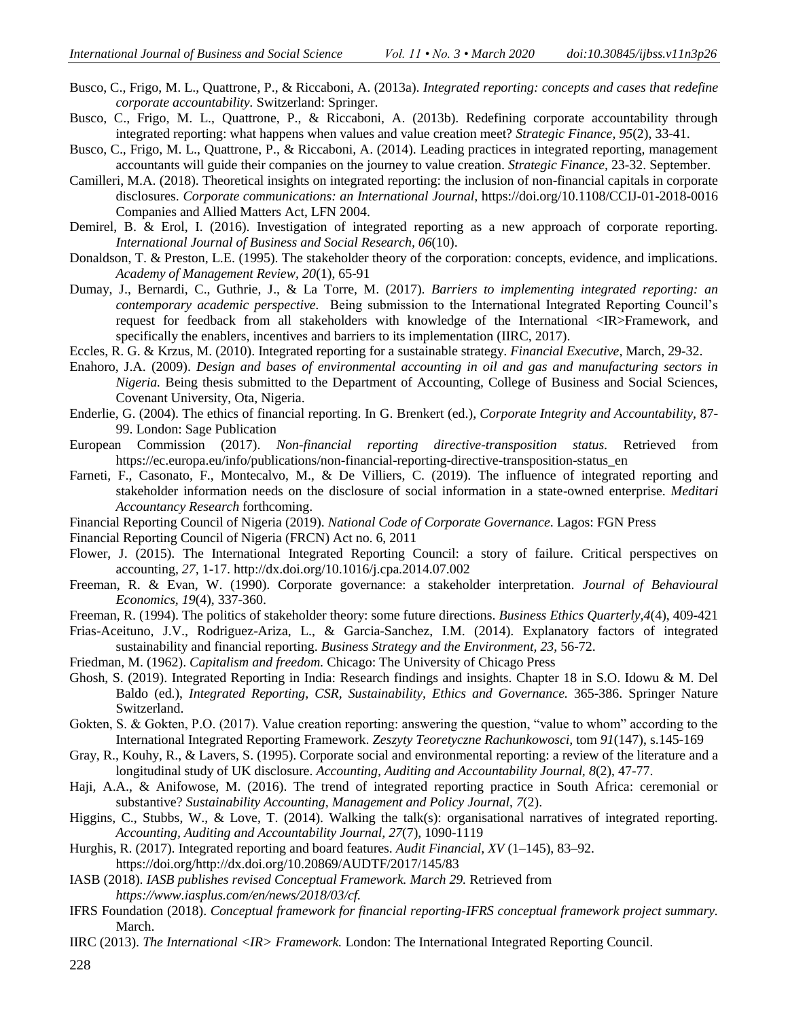- Busco, C., Frigo, M. L., Quattrone, P., & Riccaboni, A. (2013a). *Integrated reporting: concepts and cases that redefine corporate accountability.* Switzerland: Springer.
- Busco, C., Frigo, M. L., Quattrone, P., & Riccaboni, A. (2013b). Redefining corporate accountability through integrated reporting: what happens when values and value creation meet? *Strategic Finance, 95*(2), 33-41.
- Busco, C., Frigo, M. L., Quattrone, P., & Riccaboni, A. (2014). Leading practices in integrated reporting, management accountants will guide their companies on the journey to value creation. *Strategic Finance,* 23-32. September.
- Camilleri, M.A. (2018). Theoretical insights on integrated reporting: the inclusion of non-financial capitals in corporate disclosures. *Corporate communications: an International Journal,* <https://doi.org/10.1108/CCIJ-01-2018-0016> Companies and Allied Matters Act, LFN 2004.
- Demirel, B. & Erol, I. (2016). Investigation of integrated reporting as a new approach of corporate reporting. *International Journal of Business and Social Research, 06*(10).
- Donaldson, T. & Preston, L.E. (1995). The stakeholder theory of the corporation: concepts, evidence, and implications. *Academy of Management Review, 20*(1), 65-91
- Dumay, J., Bernardi, C., Guthrie, J., & La Torre, M. (2017). *Barriers to implementing integrated reporting: an contemporary academic perspective.* Being submission to the International Integrated Reporting Council's request for feedback from all stakeholders with knowledge of the International <IR>Framework, and specifically the enablers, incentives and barriers to its implementation (IIRC, 2017).
- Eccles, R. G. & Krzus, M. (2010). Integrated reporting for a sustainable strategy. *Financial Executive,* March, 29-32.
- Enahoro, J.A. (2009). *Design and bases of environmental accounting in oil and gas and manufacturing sectors in Nigeria.* Being thesis submitted to the Department of Accounting, College of Business and Social Sciences, Covenant University, Ota, Nigeria.
- Enderlie, G. (2004). The ethics of financial reporting. In G. Brenkert (ed.), *Corporate Integrity and Accountability,* 87- 99. London: Sage Publication
- European Commission (2017). *Non-financial reporting directive-transposition status.* Retrieved from [https://ec.europa.eu/info/publications/non-financial-reporting-directive-transposition-status\\_en](https://ec.europa.eu/info/publications/non-financial-reporting-directive-transposition-status_en)
- Farneti, F., Casonato, F., Montecalvo, M., & De Villiers, C. (2019). The influence of integrated reporting and stakeholder information needs on the disclosure of social information in a state-owned enterprise. *Meditari Accountancy Research* forthcoming.
- Financial Reporting Council of Nigeria (2019). *National Code of Corporate Governance*. Lagos: FGN Press
- Financial Reporting Council of Nigeria (FRCN) Act no. 6, 2011
- Flower, J. (2015). The International Integrated Reporting Council: a story of failure. Critical perspectives on accounting, *27,* 1-17[. http://dx.doi.org/10.1016/j.cpa.2014.07.002](http://dx.doi.org/10.1016/j.cpa.2014.07.002)
- Freeman, R. & Evan, W. (1990). Corporate governance: a stakeholder interpretation. *Journal of Behavioural Economics, 19*(4), 337-360.
- Freeman, R. (1994). The politics of stakeholder theory: some future directions. *Business Ethics Quarterly,4*(4), 409-421
- Frias-Aceituno, J.V., Rodriguez-Ariza, L., & Garcia-Sanchez, I.M. (2014). Explanatory factors of integrated sustainability and financial reporting. *Business Strategy and the Environment, 23*, 56-72.
- Friedman, M. (1962). *Capitalism and freedom.* Chicago: The University of Chicago Press
- Ghosh, S. (2019). Integrated Reporting in India: Research findings and insights. Chapter 18 in S.O. Idowu & M. Del Baldo (ed.), *Integrated Reporting, CSR, Sustainability, Ethics and Governance.* 365-386. Springer Nature Switzerland.
- Gokten, S. & Gokten, P.O. (2017). Value creation reporting: answering the question, "value to whom" according to the International Integrated Reporting Framework. *Zeszyty Teoretyczne Rachunkowosci,* tom *91*(147), s.145-169
- Gray, R., Kouhy, R., & Lavers, S. (1995). Corporate social and environmental reporting: a review of the literature and a longitudinal study of UK disclosure. *Accounting, Auditing and Accountability Journal, 8*(2), 47-77.
- Haji, A.A., & Anifowose, M. (2016). The trend of integrated reporting practice in South Africa: ceremonial or substantive? *Sustainability Accounting, Management and Policy Journal*, *7*(2).
- Higgins, C., Stubbs, W., & Love, T. (2014). Walking the talk(s): organisational narratives of integrated reporting. *Accounting, Auditing and Accountability Journal, 27*(7), 1090-1119
- Hurghis, R. (2017). Integrated reporting and board features. *Audit Financial, XV* (1–145), 83–92. https://doi.org/http://dx.doi.org/10.20869/AUDTF/2017/145/83
- IASB (2018). *IASB publishes revised Conceptual Framework. March 29.* Retrieved from *[https://www.iasplus.com/en/news/2018/03/cf.](https://www.iasplus.com/en/news/2018/03/cf)*
- IFRS Foundation (2018). *Conceptual framework for financial reporting-IFRS conceptual framework project summary.* March.
- IIRC (2013). *The International <IR> Framework.* London: The International Integrated Reporting Council.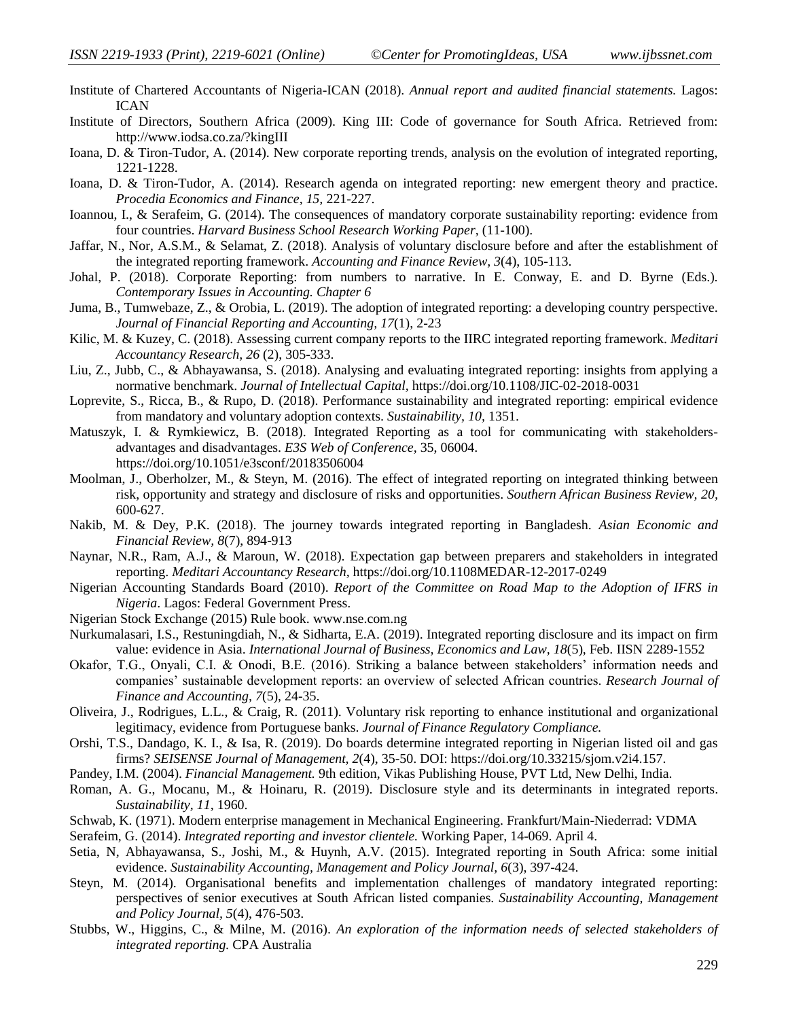- Institute of Chartered Accountants of Nigeria-ICAN (2018). *Annual report and audited financial statements.* Lagos: ICAN
- Institute of Directors, Southern Africa (2009). King III: Code of governance for South Africa. Retrieved from: <http://www.iodsa.co.za/?kingIII>
- Ioana, D. & Tiron-Tudor, A. (2014). New corporate reporting trends, analysis on the evolution of integrated reporting, 1221-1228.
- Ioana, D. & Tiron-Tudor, A. (2014). Research agenda on integrated reporting: new emergent theory and practice. *Procedia Economics and Finance, 15,* 221-227.
- Ioannou, I., & Serafeim, G. (2014). The consequences of mandatory corporate sustainability reporting: evidence from four countries. *Harvard Business School Research Working Paper,* (11-100).
- Jaffar, N., Nor, A.S.M., & Selamat, Z. (2018). Analysis of voluntary disclosure before and after the establishment of the integrated reporting framework. *Accounting and Finance Review, 3*(4), 105-113.
- Johal, P. (2018). Corporate Reporting: from numbers to narrative. In E. Conway, E. and D. Byrne (Eds.). *Contemporary Issues in Accounting. Chapter 6*
- Juma, B., Tumwebaze, Z., & Orobia, L. (2019). The adoption of integrated reporting: a developing country perspective. *Journal of Financial Reporting and Accounting, 17*(1), 2-23
- Kilic, M. & Kuzey, C. (2018). Assessing current company reports to the IIRC integrated reporting framework. *Meditari Accountancy Research, 26* (2), 305-333.
- Liu, Z., Jubb, C., & Abhayawansa, S. (2018). Analysing and evaluating integrated reporting: insights from applying a normative benchmark. *Journal of Intellectual Capital,* <https://doi.org/10.1108/JIC-02-2018-0031>
- Loprevite, S., Ricca, B., & Rupo, D. (2018). Performance sustainability and integrated reporting: empirical evidence from mandatory and voluntary adoption contexts. *Sustainability, 10,* 1351.
- Matuszyk, I. & Rymkiewicz, B. (2018). Integrated Reporting as a tool for communicating with stakeholdersadvantages and disadvantages. *E3S Web of Conference,* 35, 06004. <https://doi.org/10.1051/e3sconf/20183506004>
- Moolman, J., Oberholzer, M., & Steyn, M. (2016). The effect of integrated reporting on integrated thinking between risk, opportunity and strategy and disclosure of risks and opportunities. *Southern African Business Review, 20,* 600-627.
- Nakib, M. & Dey, P.K. (2018). The journey towards integrated reporting in Bangladesh. *Asian Economic and Financial Review, 8*(7), 894-913
- Naynar, N.R., Ram, A.J., & Maroun, W. (2018). Expectation gap between preparers and stakeholders in integrated reporting. *Meditari Accountancy Research,* <https://doi.org/10.1108MEDAR-12-2017-0249>
- Nigerian Accounting Standards Board (2010). *Report of the Committee on Road Map to the Adoption of IFRS in Nigeria*. Lagos: Federal Government Press.
- Nigerian Stock Exchange (2015) Rule book. [www.nse.com.ng](http://www.nse.com.ng/)
- Nurkumalasari, I.S., Restuningdiah, N., & Sidharta, E.A. (2019). Integrated reporting disclosure and its impact on firm value: evidence in Asia. *International Journal of Business, Economics and Law, 18*(5), Feb. IISN 2289-1552
- Okafor, T.G., Onyali, C.I. & Onodi, B.E. (2016). Striking a balance between stakeholders' information needs and companies' sustainable development reports: an overview of selected African countries. *Research Journal of Finance and Accounting, 7*(5), 24-35.
- Oliveira, J., Rodrigues, L.L., & Craig, R. (2011). Voluntary risk reporting to enhance institutional and organizational legitimacy, evidence from Portuguese banks. *Journal of Finance Regulatory Compliance.*
- Orshi, T.S., Dandago, K. I., & Isa, R. (2019). Do boards determine integrated reporting in Nigerian listed oil and gas firms? *SEISENSE Journal of Management, 2*(4), 35-50. DOI: https://doi.org/10.33215/sjom.v2i4.157.
- Pandey, I.M. (2004). *Financial Management.* 9th edition, Vikas Publishing House, PVT Ltd, New Delhi, India.
- Roman, A. G., Mocanu, M., & Hoinaru, R. (2019). Disclosure style and its determinants in integrated reports. *Sustainability, 11,* 1960.
- Schwab, K. (1971). Modern enterprise management in Mechanical Engineering. Frankfurt/Main-Niederrad: VDMA
- Serafeim, G. (2014). *Integrated reporting and investor clientele.* Working Paper*,* 14-069. April 4.
- Setia, N, Abhayawansa, S., Joshi, M., & Huynh, A.V. (2015). Integrated reporting in South Africa: some initial evidence. *Sustainability Accounting, Management and Policy Journal, 6*(3), 397-424.
- Steyn, M. (2014). Organisational benefits and implementation challenges of mandatory integrated reporting: perspectives of senior executives at South African listed companies. *Sustainability Accounting, Management and Policy Journal, 5*(4), 476-503.
- Stubbs, W., Higgins, C., & Milne, M. (2016). *An exploration of the information needs of selected stakeholders of integrated reporting.* CPA Australia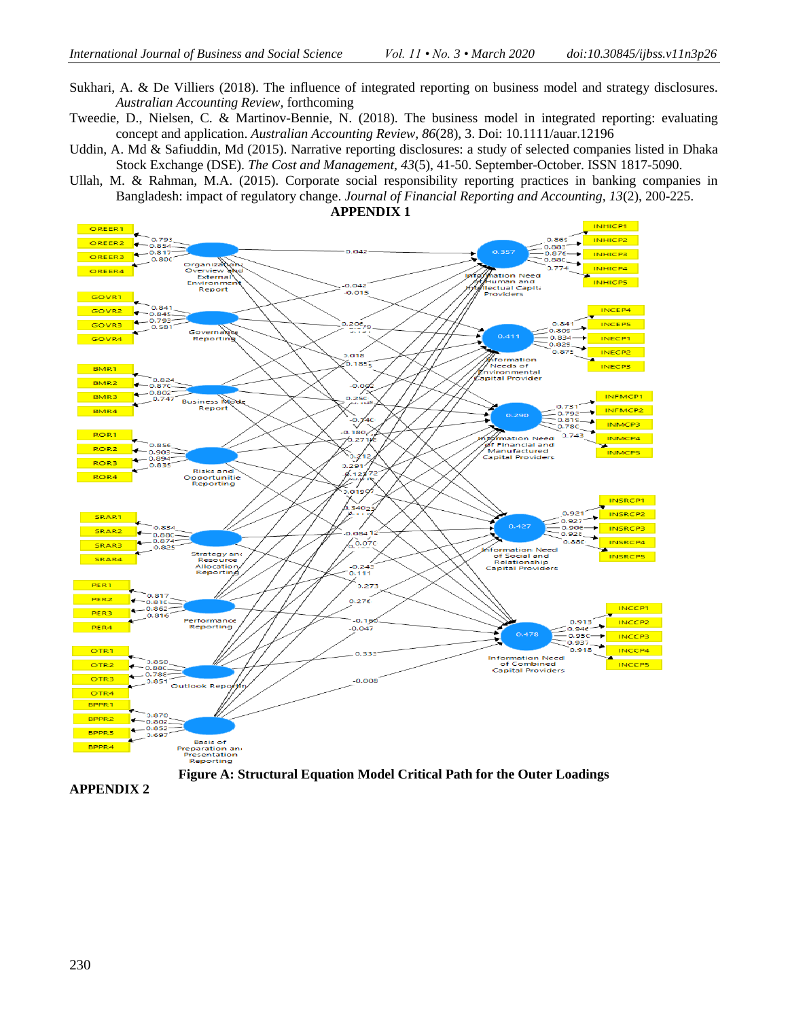- Sukhari, A. & De Villiers (2018). The influence of integrated reporting on business model and strategy disclosures. *Australian Accounting Review,* forthcoming
- Tweedie, D., Nielsen, C. & Martinov-Bennie, N. (2018). The business model in integrated reporting: evaluating concept and application. *Australian Accounting Review, 86*(28), 3. Doi: 10.1111/auar.12196
- Uddin, A. Md & Safiuddin, Md (2015). Narrative reporting disclosures: a study of selected companies listed in Dhaka Stock Exchange (DSE). *The Cost and Management, 43*(5), 41-50. September-October. ISSN 1817-5090.
- Ullah, M. & Rahman, M.A. (2015). Corporate social responsibility reporting practices in banking companies in Bangladesh: impact of regulatory change. *Journal of Financial Reporting and Accounting, 13*(2), 200-225.



**APPENDIX 2**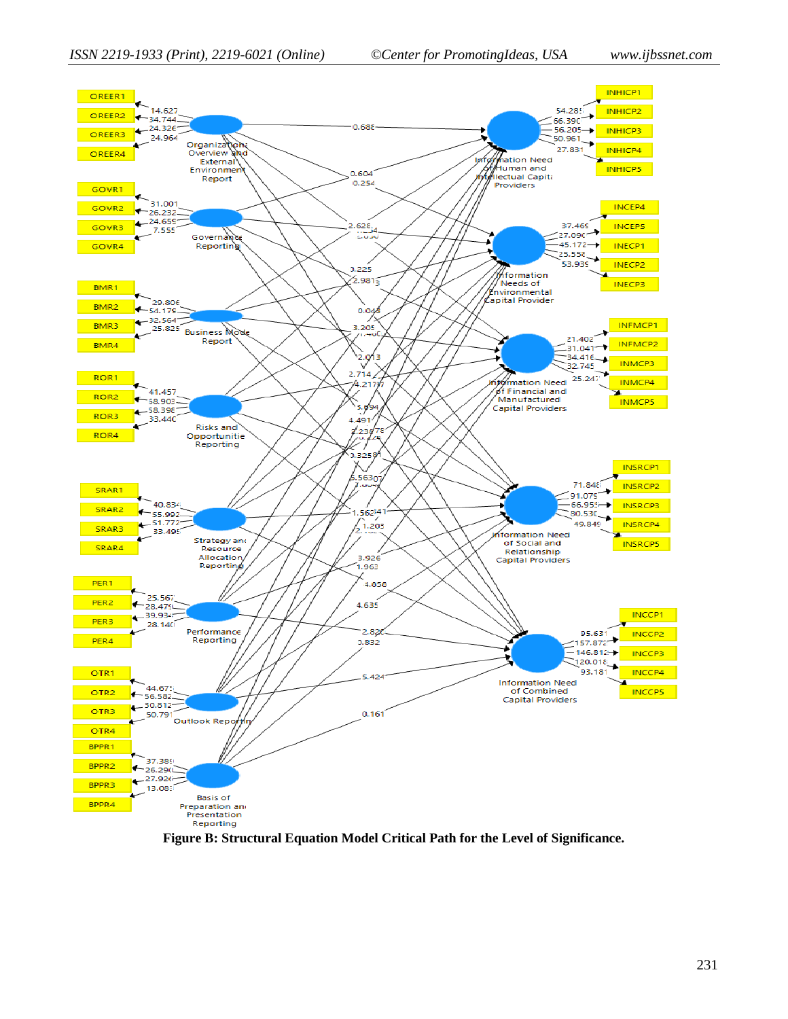

**Figure B: Structural Equation Model Critical Path for the Level of Significance.**